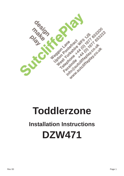

# **Toddlerzone**

# **Installation Instructions DZW471**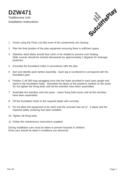**DZW471** Toddlerzone Unit Installation Instructions



- 1 Check using the Parts List that none of the components are missing.
- 2 Plan the final position of the play equipment ensuring there is sufficient space.
- 3 Stainless steel slides should face north or be shaded to prevent over heating. Slide runouts should be inclined downwards by approximately 2 degrees for drainage purposes.
- 4 Excavate the foundation holes in accordance with the plan.
- 5 Sort and identify parts before assembly. Each leg is numbered to correspond with the foundation plan.
- 6 Position 2 off 300 long spragging irons into the holes provided in each post upright and stand in the foundation holes. Assemble the decks at the positions marked on the posts. Do not tighten the fixing bolts until all the activities have been assembled.
- 7 Assemble the activities onto the posts. Leave fixing bolts loose until all the activities have been assembled.
- 8 Fill the foundation holes to the required depth with concrete.
- 9 Do not allow the equipment to be used until the concrete has set (2 3 days) and the required safety surfacing has been installed.
- 10 Tighten all fixing bolts.
- 11 Follow the maintenance instructions supplied.

During installation care must be taken to prevent hazards to children. Extra care should be taken if conditions are abnormal.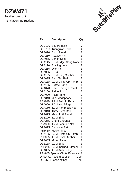## **DZW471** Toddlerzone Unit Installation Instructions



| Ref                                       | <b>Description</b>           | Qty            |  |  |  |  |
|-------------------------------------------|------------------------------|----------------|--|--|--|--|
| DZD100                                    | Square deck                  | 7              |  |  |  |  |
| <b>DZD200</b>                             | <b>Triangular Deck</b>       | 4              |  |  |  |  |
| DZA010                                    | <b>Shop Panel</b>            | 1              |  |  |  |  |
| DZA210                                    | <b>Abacus Rail</b>           | 1              |  |  |  |  |
| DZA055                                    | <b>Bench Seat</b>            | 1              |  |  |  |  |
| <b>DZA145</b>                             | 2.0M Edge Along Rope         | 1              |  |  |  |  |
| <b>DZA170</b>                             | <b>Bracing Legs</b>          | $\overline{c}$ |  |  |  |  |
| DZA215                                    | Oxo Rail                     | $\overline{1}$ |  |  |  |  |
| <b>DZA005</b>                             | D Rail                       | 4              |  |  |  |  |
| DZA135                                    | 0.9M Ring Climber            | 1              |  |  |  |  |
| DZA095                                    | <b>Arch Top Rail</b>         | 3              |  |  |  |  |
| <b>DZA110</b>                             | 0.9M Climb Up Ramp           | $\overline{1}$ |  |  |  |  |
| DZA185                                    | <b>Puzzle Panel</b>          | 1              |  |  |  |  |
| DZA070                                    | <b>Head Through Panel</b>    | 1              |  |  |  |  |
| <b>DZA100</b>                             | <b>Ridge Roof</b>            | $\overline{2}$ |  |  |  |  |
| DZA090                                    | <b>Plain Panel</b>           | 3              |  |  |  |  |
| DZA340                                    | Mini Megaphone               | 1              |  |  |  |  |
| <b>PZA620</b>                             | 1.2M Pull Up Ramp            | 1              |  |  |  |  |
| <b>DZA060</b>                             | 1.5M Net Bridge              | 1              |  |  |  |  |
| DZA150                                    | 1.0M Hammock Net             | 1              |  |  |  |  |
| DZA040                                    | <b>Three Seat Rail</b>       | 1              |  |  |  |  |
| DZA075                                    | <b>Mesh Infill Panel</b>     | 1              |  |  |  |  |
|                                           | DZS120 1.2M Slide            | 1              |  |  |  |  |
| <b>DZA255</b>                             | <b>Chute Entrance</b>        | 1              |  |  |  |  |
| <b>PZA390</b>                             | 1.2M Scamble Net             | 1              |  |  |  |  |
| <b>DZA015</b>                             | <b>Binocular Rail</b>        | 1              |  |  |  |  |
| <b>PZB450</b>                             | <b>Music Pipes</b>           | 1              |  |  |  |  |
| DZA105                                    | 0.6M Climb Up Ramp           | 1              |  |  |  |  |
|                                           | PZB065 1.5M Level Climber    | 1              |  |  |  |  |
|                                           | DZA085 Mirror Panel          | 1              |  |  |  |  |
|                                           | DZS110 0.9M Slide            | 1              |  |  |  |  |
|                                           | PZB075 0.6M Inclined Climber | 1              |  |  |  |  |
|                                           | DZA035 1.5M Arch Bridge      | $\overline{2}$ |  |  |  |  |
| <b>PZA945 Special Chute Entrance</b><br>1 |                              |                |  |  |  |  |
|                                           | DPW471 Posts (set of 34)     | 1 set          |  |  |  |  |
| DZU471FLoose fixings<br>1 set             |                              |                |  |  |  |  |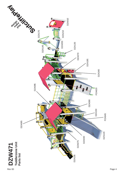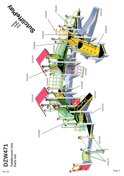